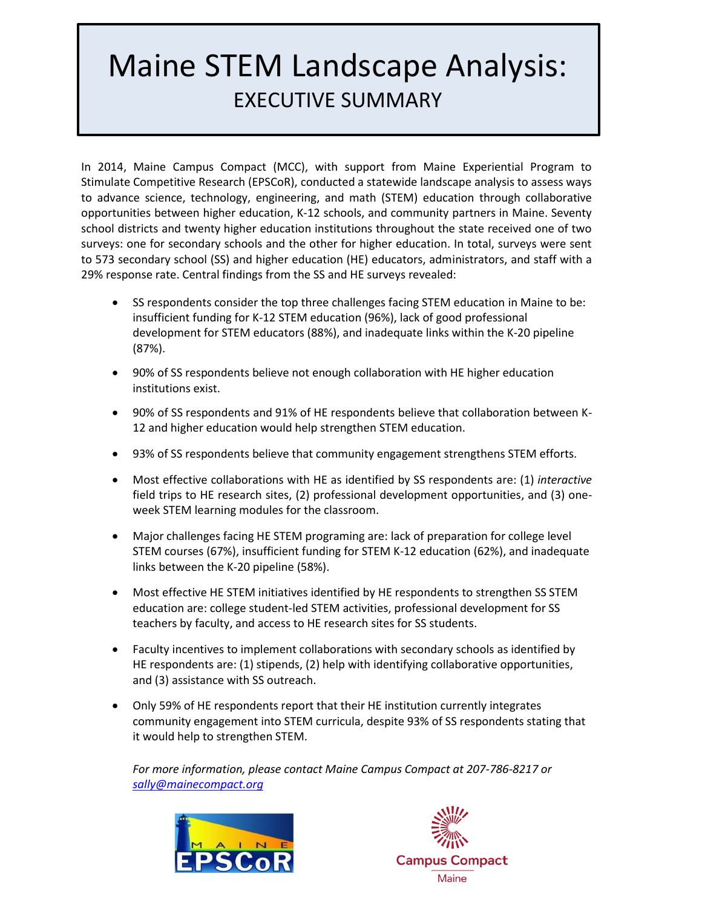## Maine STEM Landscape Analysis: EXECUTIVE SUMMARY

In 2014, Maine Campus Compact (MCC), with support from Maine Experiential Program to Stimulate Competitive Research (EPSCoR), conducted a statewide landscape analysis to assess ways to advance science, technology, engineering, and math (STEM) education through collaborative opportunities between higher education, K-12 schools, and community partners in Maine. Seventy school districts and twenty higher education institutions throughout the state received one of two surveys: one for secondary schools and the other for higher education. In total, surveys were sent to 573 secondary school (SS) and higher education (HE) educators, administrators, and staff with a 29% response rate. Central findings from the SS and HE surveys revealed:

- SS respondents consider the top three challenges facing STEM education in Maine to be: insufficient funding for K-12 STEM education (96%), lack of good professional development for STEM educators (88%), and inadequate links within the K-20 pipeline (87%).
- 90% of SS respondents believe not enough collaboration with HE higher education institutions exist.
- 90% of SS respondents and 91% of HE respondents believe that collaboration between K-12 and higher education would help strengthen STEM education.
- 93% of SS respondents believe that community engagement strengthens STEM efforts.
- Most effective collaborations with HE as identified by SS respondents are: (1) *interactive*  field trips to HE research sites, (2) professional development opportunities, and (3) oneweek STEM learning modules for the classroom.
- Major challenges facing HE STEM programing are: lack of preparation for college level STEM courses (67%), insufficient funding for STEM K-12 education (62%), and inadequate links between the K-20 pipeline (58%).
- Most effective HE STEM initiatives identified by HE respondents to strengthen SS STEM education are: college student-led STEM activities, professional development for SS teachers by faculty, and access to HE research sites for SS students.
- Faculty incentives to implement collaborations with secondary schools as identified by HE respondents are: (1) stipends, (2) help with identifying collaborative opportunities, and (3) assistance with SS outreach.
- Only 59% of HE respondents report that their HE institution currently integrates community engagement into STEM curricula, despite 93% of SS respondents stating that it would help to strengthen STEM.

*For more information, please contact Maine Campus Compact at 207-786-8217 or [sally@mainecompact.org](mailto:sally@mainecompact.org)*